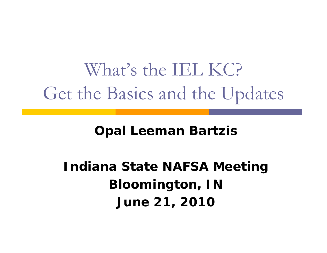# What's the IEL KC? Get the Basics and the Updates

### **Opal Leeman Bartzis**

### **Indiana State NAFSA Meeting Bloomington, IN June 21, 2010**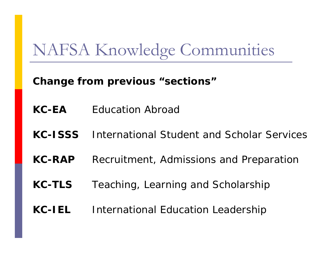# NAFSA Knowledge Communities

- **Change from previous "sections"**
- **KC-EA**Education Abroad
- **KC-ISSS** International Student and Scholar Services
- **KC-RAP**Recruitment, Admissions and Preparation
- **KC-TLS**Teaching, Learning and Scholarship
- **KC-IEL**International Education Leadership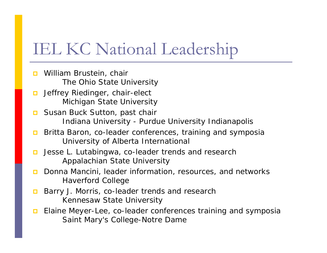## IEL KC National Leadership

- п William Brustein, chair The Ohio State University
- о Jeffrey Riedinger, chair-elect Michigan State University
- о Susan Buck Sutton, past chair Indiana University - Purdue University Indianapolis
- $\Box$  Britta Baron, co-leader conferences, training and symposia University of Alberta International
- о Jesse L. Lutabingwa, co-leader trends and research Appalachian State University
- $\Box$  Donna Mancini, leader information, resources, and networks Haverford College
- □ Barry J. Morris, co-leader trends and research Kennesaw State University
- $\Box$  Elaine Meyer-Lee, co-leader conferences training and symposia Saint Mary's College-Notre Dame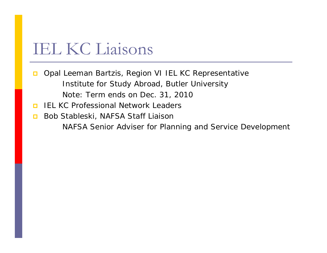### IEL KC Liaisons

 $\Box$  Opal Leeman Bartzis, Region VI IEL KC Representative Institute for Study Abroad, Butler University Note: Term ends on Dec. 31, 2010

- п IEL KC Professional Network Leaders
- $\Box$  Bob Stableski, NAFSA Staff Liaison NAFSA Senior Adviser for Planning and Service Development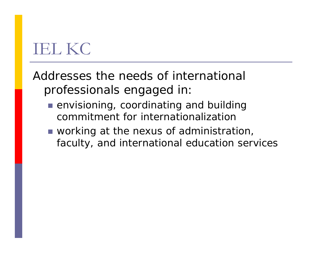### IEL KC

Addresses the needs of international professionals engaged in:

- **E** envisioning, coordinating and building commitment for internationalization
- working at the nexus of administration, faculty, and international education services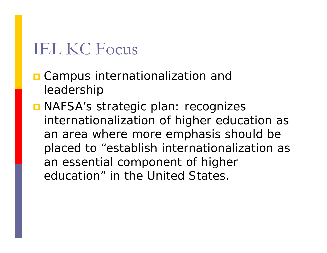## IEL KC Focus

- **O** Campus internationalization and leadership
- **O** NAFSA's strategic plan: recognizes internationalization of higher education as an area where more emphasis should be placed to "establish internationalization as an essential component of higher education" in the United States.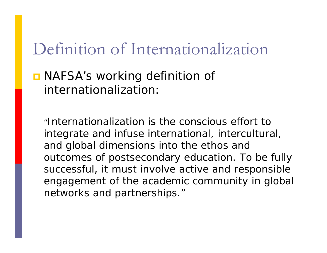### Definition of Internationalization

**O** NAFSA's working definition of internationalization:

"Internationalization is the conscious effort to integrate and infuse international, intercultural, and global dimensions into the ethos and outcomes of postsecondary education. To be fully successful, it must involve active and responsible engagement of the academic community in global networks and partnerships."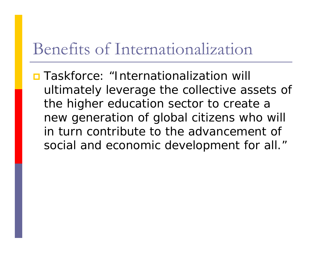### Benefits of Internationalization

**O** Taskforce: "Internationalization will ultimately leverage the collective assets of the higher education sector to create a new generation of global citizens who will in turn contribute to the advancement of social and economic development for all."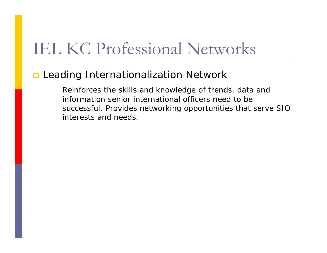### IEL KC Professional Networks

### **n** Leading Internationalization Network

Reinforces the skills and knowledge of trends, data and information senior international officers need to be successful. Provides networking opportunities that serve SIO interests and needs.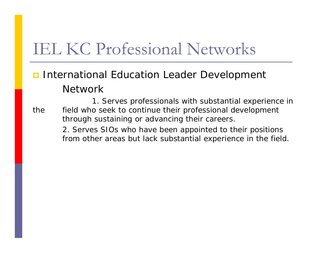### IEL KC Professional Networks

### **D** International Education Leader Development Network

1. Serves professionals with substantial experience in the field who seek to continue their professional development through sustaining or advancing their careers.

> 2. Serves SIOs who have been appointed to their positions from other areas but lack substantial experience in the field.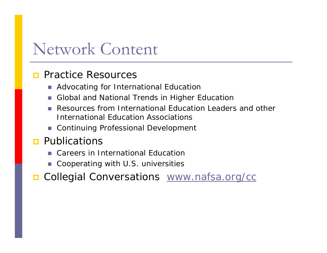### Network Content

#### $\Box$ Practice Resources

- $\mathbb{R}^3$ Advocating for International Education
- H. Global and National Trends in Higher Education
- m. Resources from International Education Leaders and other International Education Associations
- Continuing Professional Development

### **<u>n</u>** Publications

- Careers in International Education
- F. Cooperating with U.S. universities
- $\Box$ Collegial Conversations [www.nafsa.org/cc](http://www.nafsa.org/cc)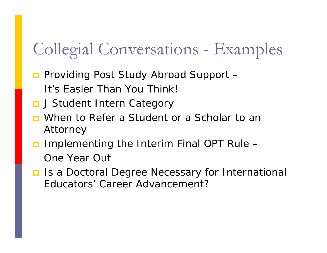# Collegial Conversations - Examples

- Providing Post Study Abroad Support -It's Easier Than You Think!
- **D** J Student Intern Category
- **<u>n</u>** When to Refer a Student or a Scholar to an Attorney
- Implementing the Interim Final OPT Rule -One Year Out
- **<u>Elles</u>** Is a Doctoral Degree Necessary for International Educators' Career Advancement?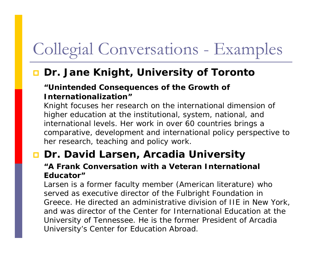# Collegial Conversations - Examples

### **Dr. Jane Knight, University of Toronto**

#### **"Unintended Consequences of the Growth of Internationalization"**

Knight focuses her research on the international dimension of higher education at the institutional, system, national, and international levels. Her work in over 60 countries brings a comparative, development and international policy perspective to her research, teaching and policy work.

### **Dr. David Larsen, Arcadia University**

#### **"A Frank Conversation with a Veteran International Educator"**

Larsen is a former faculty member (American literature) who served as executive director of the Fulbright Foundation in Greece. He directed an administrative division of IIE in New York, and was director of the Center for International Education at the University of Tennessee. He is the former President of Arcadia University's Center for Education Abroad.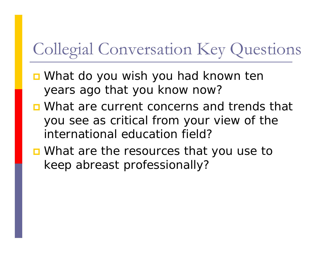# Collegial Conversation Key Questions

- What do you wish you had known ten years ago that you know now?
- **D** What are current concerns and trends that you see as critical from your view of the international education field?
- What are the resources that you use to keep abreast professionally?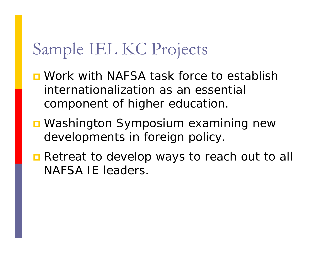## Sample IEL KC Projects

- **D** Work with NAFSA task force to establish internationalization as an essential component of higher education.
- Washington Symposium examining new developments in foreign policy.
- **Retreat to develop ways to reach out to all** NAFSA IE leaders.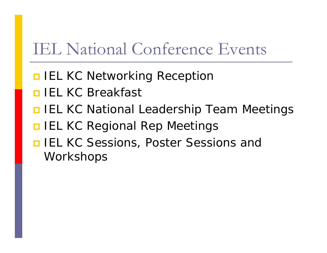## IEL National Conference Events

- $\blacksquare$  **IEL KC Networking Reception**
- **D IEL KC Breakfast**
- **D IEL KC National Leadership Team Meetings**
- **DIEL KC Regional Rep Meetings**
- **<u>EL KC</u>** Sessions, Poster Sessions and **Workshops**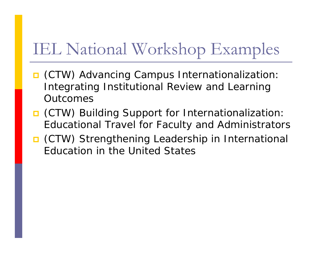## IEL National Workshop Examples

- □ (CTW) Advancing Campus Internationalization: Integrating Institutional Review and Learning **Outcomes**
- **D** (CTW) Building Support for Internationalization: Educational Travel for Faculty and Administrators
- □ (CTW) Strengthening Leadership in International Education in the United States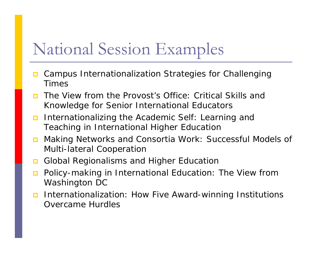## National Session Examples

- о Campus Internationalization Strategies for Challenging Times
- □ The View from the Provost's Office: Critical Skills and Knowledge for Senior International Educators
- о Internationalizing the Academic Self: Learning and Teaching in International Higher Education
- n Making Networks and Consortia Work: Successful Models of Multi-lateral Cooperation
- □ Global Regionalisms and Higher Education
- ◘ Policy-making in International Education: The View from Washington DC
- п Internationalization: How Five Award-winning Institutions Overcame Hurdles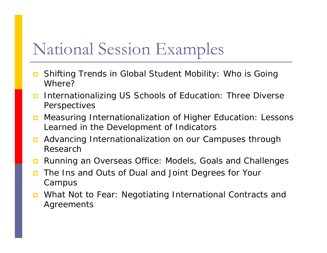## National Session Examples

- о Shifting Trends in Global Student Mobility: Who is Going Where?
- о Internationalizing US Schools of Education: Three Diverse **Perspectives**
- $\Box$  Measuring Internationalization of Higher Education: Lessons Learned in the Development of Indicators
- **n** Advancing Internationalization on our Campuses through Research
- Running an Overseas Office: Models, Goals and Challenges
- ◘ The Ins and Outs of Dual and Joint Degrees for Your Campus
- $\Box$  What Not to Fear: Negotiating International Contracts and Agreements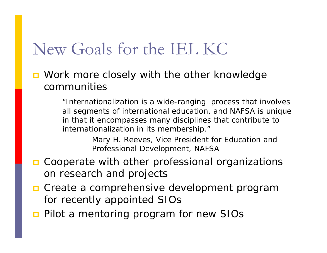## New Goals for the IEL KC

**D** Work more closely with the other knowledge communities

> "Internationalization is a wide-ranging process that involves all segments of international education, and NAFSA is unique in that it encompasses many disciplines that contribute to internationalization in its membership."

> > *Mary H. Reeves, Vice President for Education and Professional Development, NAFSA*

- **□** Cooperate with other professional organizations on research and projects
- **O** Create a comprehensive development program for recently appointed SIOs
- **<u>n</u>** Pilot a mentoring program for new SIOs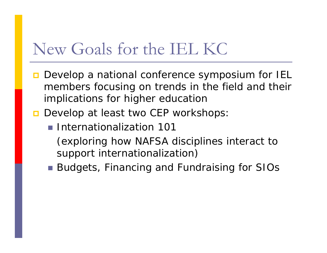## New Goals for the IEL KC

- $\Box$  Develop a national conference symposium for IEL members focusing on trends in the field and their implications for higher education
- Develop at least two CEP workshops:
	- **Internationalization 101** 
		- (exploring how NAFSA disciplines interact to support internationalization)
	- Budgets, Financing and Fundraising for SIOs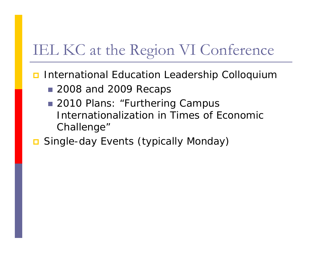### IEL KC at the Region VI Conference

 $\Box$ International Education Leadership Colloquium

- 2008 and 2009 Recaps
- 2010 Plans: "Furthering Campus Internationalization in Times of Economic Challenge"
- **□ Single-day Events (typically Monday)**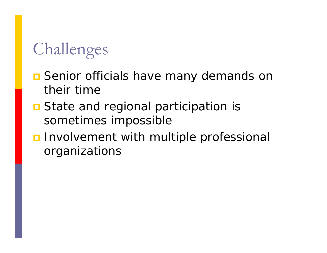# Challenges

- **O** Senior officials have many demands on their time
- **□** State and regional participation is sometimes impossible
- **Involvement with multiple professional** organizations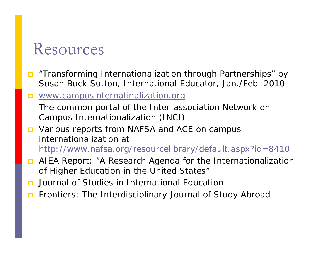### Resources

- $\Box$  "Transforming Internationalization through Partnerships" by Susan Buck Sutton, *International Educator,* Jan./Feb. 2010
- **D** <u>[www.campusinternatinalization.org](http://www.campusinternatinalization.org/)</u>

The common portal of the Inter-association Network on Campus Internationalization (INCI)

- **D** Various reports from NAFSA and ACE on campus internationalization at <http://www.nafsa.org/resourcelibrary/default.aspx?id=8410>
- . AIEA Report: "A Research Agenda for the Internationalization of Higher Education in the United States"
- о *Journal of Studies in International Education*
- □ *Frontiers: The Interdisciplinary Journal of Study Abroad*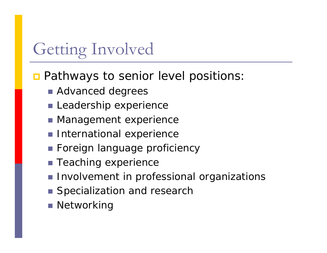# Getting Involved

### **Pathways to senior level positions:**

- **Advanced degrees**
- **Leadership experience**
- **Management experience**
- **International experience**
- **Foreign language proficiency**
- **Teaching experience**
- **Involvement in professional organizations**
- **Specialization and research**
- Networking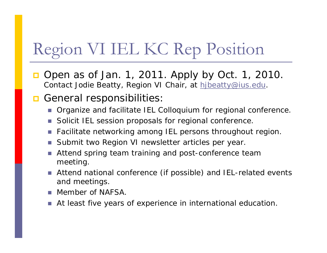# Region VI IEL KC Rep Position

- □ Open as of Jan. 1, 2011. Apply by Oct. 1, 2010. Contact Jodie Beatty, Region VI Chair, at hibeatty@ius.edu.
- **General responsibilities:** 
	- $\mathbb{R}^3$ Organize and facilitate IEL Colloquium for regional conference.
	- $\mathcal{C}^{\mathcal{A}}$ Solicit IEL session proposals for regional conference.
	- T. Facilitate networking among IEL persons throughout region.
	- $\mathbb{R}^3$ Submit two Region VI newsletter articles per year.
	- F. Attend spring team training and post-conference team meeting.
	- T. Attend national conference (if possible) and IEL-related events and meetings.
	- **Tale** Member of NAFSA.
	- m. At least five years of experience in international education.